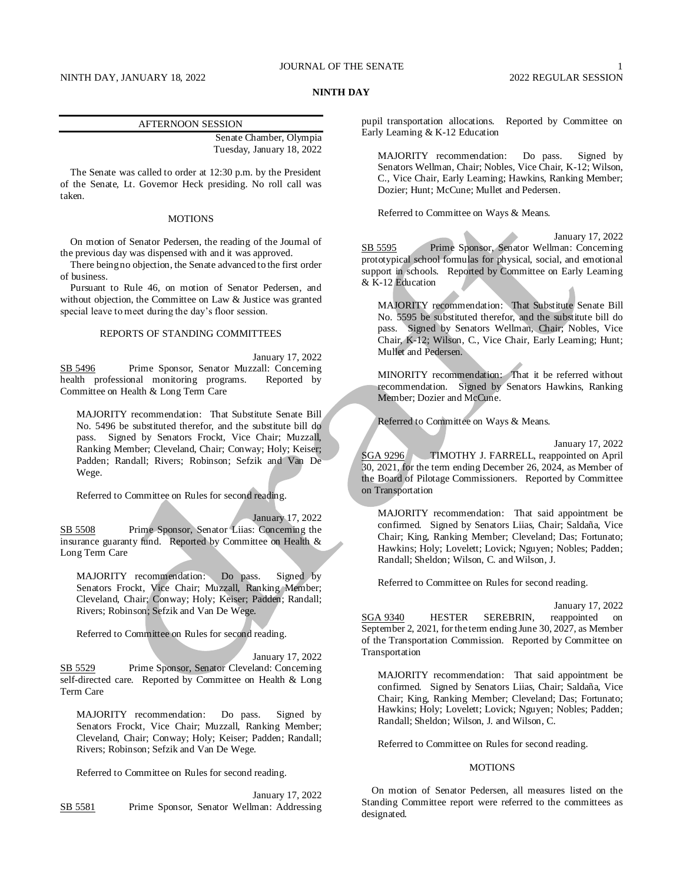# **NINTH DAY**

### AFTERNOON SESSION

Senate Chamber, Olympia Tuesday, January 18, 2022

The Senate was called to order at 12:30 p.m. by the President of the Senate, Lt. Governor Heck presiding. No roll call was taken.

# **MOTIONS**

On motion of Senator Pedersen, the reading of the Journal of the previous day was dispensed with and it was approved.

There being no objection, the Senate advanced to the first order of business.

Pursuant to Rule 46, on motion of Senator Pedersen, and without objection, the Committee on Law & Justice was granted special leave to meet during the day's floor session.

### REPORTS OF STANDING COMMITTEES

January 17, 2022 SB 5496 Prime Sponsor, Senator Muzzall: Concerning health professional monitoring programs. Reported by Committee on Health & Long Term Care

MAJORITY recommendation: That Substitute Senate Bill No. 5496 be substituted therefor, and the substitute bill do pass. Signed by Senators Frockt, Vice Chair; Muzzall, Ranking Member; Cleveland, Chair; Conway; Holy; Keiser; Padden; Randall; Rivers; Robinson; Sefzik and Van De Wege.

Referred to Committee on Rules for second reading.

January 17, 2022 SB 5508 Prime Sponsor, Senator Liias: Concerning the insurance guaranty fund. Reported by Committee on Health & Long Term Care

MAJORITY recommendation: Do pass. Signed by Senators Frockt, Vice Chair; Muzzall, Ranking Member; Cleveland, Chair; Conway; Holy; Keiser; Padden; Randall; Rivers; Robinson; Sefzik and Van De Wege.

Referred to Committee on Rules for second reading.

January 17, 2022 SB 5529 Prime Sponsor, Senator Cleveland: Concerning self-directed care. Reported by Committee on Health & Long Term Care

MAJORITY recommendation: Do pass. Signed by Senators Frockt, Vice Chair; Muzzall, Ranking Member; Cleveland, Chair; Conway; Holy; Keiser; Padden; Randall; Rivers; Robinson; Sefzik and Van De Wege.

Referred to Committee on Rules for second reading.

January 17, 2022 SB 5581 Prime Sponsor, Senator Wellman: Addressing pupil transportation allocations. Reported by Committee on Early Learning & K-12 Education

MAJORITY recommendation: Do pass. Signed by Senators Wellman, Chair; Nobles, Vice Chair, K-12; Wilson, C., Vice Chair, Early Learning; Hawkins, Ranking Member; Dozier; Hunt; McCune; Mullet and Pedersen.

Referred to Committee on Ways & Means.

January 17, 2022 SB 5595 Prime Sponsor, Senator Wellman: Concerning prototypical school formulas for physical, social, and emotional support in schools. Reported by Committee on Early Learning & K-12 Education

MAJORITY recommendation: That Substitute Senate Bill No. 5595 be substituted therefor, and the substitute bill do pass. Signed by Senators Wellman, Chair; Nobles, Vice Chair, K-12; Wilson, C., Vice Chair, Early Learning; Hunt; Mullet and Pedersen.

MINORITY recommendation: That it be referred without recommendation. Signed by Senators Hawkins, Ranking Member; Dozier and McCune.

Referred to Committee on Ways & Means.

January 17, 2022

SGA 9296 TIMOTHY J. FARRELL, reappointed on April 30, 2021, for the term ending December 26, 2024, as Member of the Board of Pilotage Commissioners. Reported by Committee on Transportation

MAJORITY recommendation: That said appointment be confirmed. Signed by Senators Liias, Chair; Saldaña, Vice Chair; King, Ranking Member; Cleveland; Das; Fortunato; Hawkins; Holy; Lovelett; Lovick; Nguyen; Nobles; Padden; Randall; Sheldon; Wilson, C. and Wilson, J.

Referred to Committee on Rules for second reading.

January 17, 2022 SGA 9340 HESTER SEREBRIN, reappointed on September 2, 2021, for the term ending June 30, 2027, as Member of the Transportation Commission. Reported by Committee on Transportation

MAJORITY recommendation: That said appointment be confirmed. Signed by Senators Liias, Chair; Saldaña, Vice Chair; King, Ranking Member; Cleveland; Das; Fortunato; Hawkins; Holy; Lovelett; Lovick; Nguyen; Nobles; Padden; Randall; Sheldon; Wilson, J. and Wilson, C.

Referred to Committee on Rules for second reading.

### **MOTIONS**

On motion of Senator Pedersen, all measures listed on the Standing Committee report were referred to the committees as designated.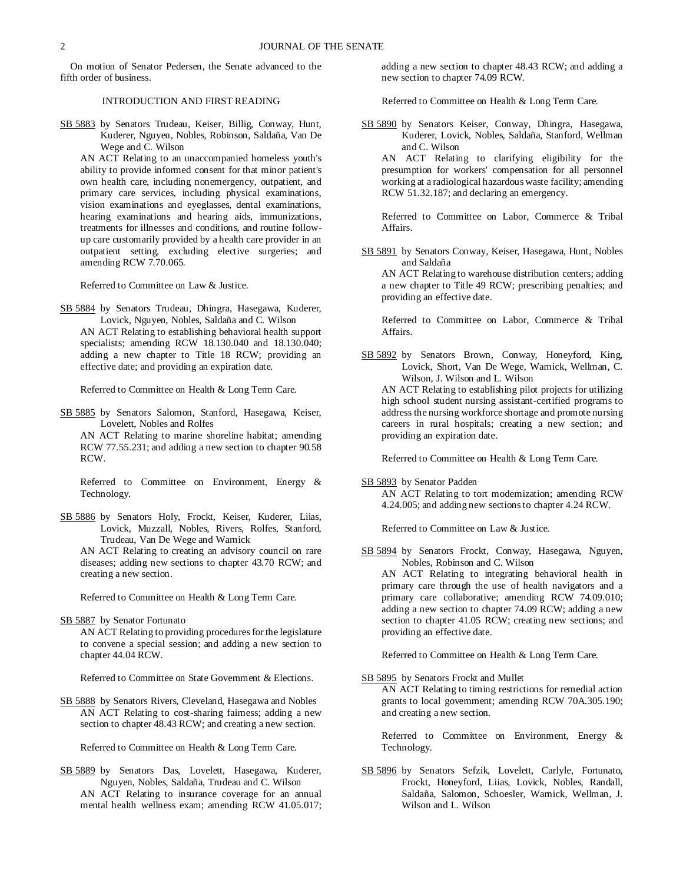On motion of Senator Pedersen, the Senate advanced to the fifth order of business.

# INTRODUCTION AND FIRST READING

SB 5883 by Senators Trudeau, Keiser, Billig, Conway, Hunt, Kuderer, Nguyen, Nobles, Robinson, Saldaña, Van De Wege and C. Wilson

AN ACT Relating to an unaccompanied homeless youth's ability to provide informed consent for that minor patient's own health care, including nonemergency, outpatient, and primary care services, including physical examinations, vision examinations and eyeglasses, dental examinations, hearing examinations and hearing aids, immunizations, treatments for illnesses and conditions, and routine followup care customarily provided by a health care provider in an outpatient setting, excluding elective surgeries; and amending RCW 7.70.065.

Referred to Committee on Law & Justice.

SB 5884 by Senators Trudeau, Dhingra, Hasegawa, Kuderer, Lovick, Nguyen, Nobles, Saldaña and C. Wilson AN ACT Relating to establishing behavioral health support specialists; amending RCW 18.130.040 and 18.130.040; adding a new chapter to Title 18 RCW; providing an effective date; and providing an expiration date.

Referred to Committee on Health & Long Term Care.

SB 5885 by Senators Salomon, Stanford, Hasegawa, Keiser, Lovelett, Nobles and Rolfes

AN ACT Relating to marine shoreline habitat; amending RCW 77.55.231; and adding a new section to chapter 90.58 RCW.

Referred to Committee on Environment, Energy & Technology.

SB 5886 by Senators Holy, Frockt, Keiser, Kuderer, Liias, Lovick, Muzzall, Nobles, Rivers, Rolfes, Stanford, Trudeau, Van De Wege and Warnick

AN ACT Relating to creating an advisory council on rare diseases; adding new sections to chapter 43.70 RCW; and creating a new section.

Referred to Committee on Health & Long Term Care.

SB 5887 by Senator Fortunato

AN ACT Relating to providing procedures for the legislature to convene a special session; and adding a new section to chapter 44.04 RCW.

Referred to Committee on State Government & Elections.

SB 5888 by Senators Rivers, Cleveland, Hasegawa and Nobles AN ACT Relating to cost-sharing fairness; adding a new section to chapter 48.43 RCW; and creating a new section.

Referred to Committee on Health & Long Term Care.

SB 5889 by Senators Das, Lovelett, Hasegawa, Kuderer, Nguyen, Nobles, Saldaña, Trudeau and C. Wilson AN ACT Relating to insurance coverage for an annual mental health wellness exam; amending RCW 41.05.017;

adding a new section to chapter 48.43 RCW; and adding a new section to chapter 74.09 RCW.

Referred to Committee on Health & Long Term Care.

SB 5890 by Senators Keiser, Conway, Dhingra, Hasegawa, Kuderer, Lovick, Nobles, Saldaña, Stanford, Wellman and C. Wilson

AN ACT Relating to clarifying eligibility for the presumption for workers' compensation for all personnel working at a radiological hazardous waste facility; amending RCW 51.32.187; and declaring an emergency.

Referred to Committee on Labor, Commerce & Tribal Affairs.

SB 5891 by Senators Conway, Keiser, Hasegawa, Hunt, Nobles and Saldaña

AN ACT Relating to warehouse distribution centers; adding a new chapter to Title 49 RCW; prescribing penalties; and providing an effective date.

Referred to Committee on Labor, Commerce & Tribal Affairs.

SB 5892 by Senators Brown, Conway, Honeyford, King, Lovick, Short, Van De Wege, Warnick, Wellman, C. Wilson, J. Wilson and L. Wilson AN ACT Relating to establishing pilot projects for utilizing high school student nursing assistant-certified programs to

address the nursing workforce shortage and promote nursing careers in rural hospitals; creating a new section; and providing an expiration date.

Referred to Committee on Health & Long Term Care.

SB 5893 by Senator Padden

AN ACT Relating to tort modernization; amending RCW 4.24.005; and adding new sections to chapter 4.24 RCW.

Referred to Committee on Law & Justice.

SB 5894 by Senators Frockt, Conway, Hasegawa, Nguyen, Nobles, Robinson and C. Wilson

AN ACT Relating to integrating behavioral health in primary care through the use of health navigators and a primary care collaborative; amending RCW 74.09.010; adding a new section to chapter 74.09 RCW; adding a new section to chapter 41.05 RCW; creating new sections; and providing an effective date.

Referred to Committee on Health & Long Term Care.

SB 5895 by Senators Frockt and Mullet AN ACT Relating to timing restrictions for remedial action grants to local government; amending RCW 70A.305.190; and creating a new section.

Referred to Committee on Environment, Energy & Technology.

SB 5896 by Senators Sefzik, Lovelett, Carlyle, Fortunato, Frockt, Honeyford, Liias, Lovick, Nobles, Randall, Saldaña, Salomon, Schoesler, Warnick, Wellman, J. Wilson and L. Wilson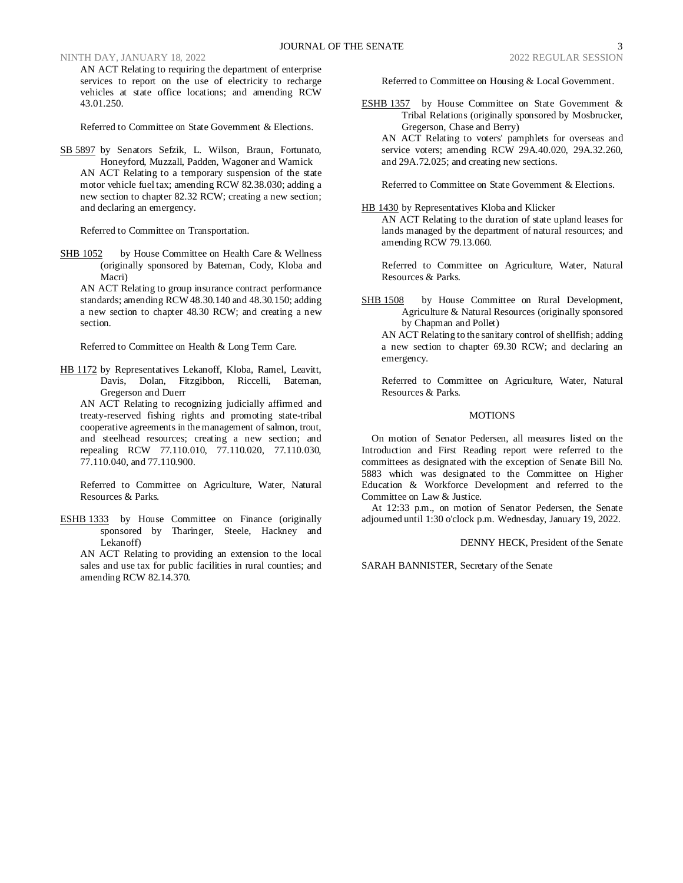NINTH DAY, JANUARY 18, 2022 2022 REGULAR SESSION

AN ACT Relating to requiring the department of enterprise services to report on the use of electricity to recharge vehicles at state office locations; and amending RCW 43.01.250.

Referred to Committee on State Government & Elections.

SB 5897 by Senators Sefzik, L. Wilson, Braun, Fortunato, Honeyford, Muzzall, Padden, Wagoner and Warnick AN ACT Relating to a temporary suspension of the state motor vehicle fuel tax; amending RCW 82.38.030; adding a new section to chapter 82.32 RCW; creating a new section; and declaring an emergency.

Referred to Committee on Transportation.

SHB 1052 by House Committee on Health Care & Wellness (originally sponsored by Bateman, Cody, Kloba and Macri)

AN ACT Relating to group insurance contract performance standards; amending RCW 48.30.140 and 48.30.150; adding a new section to chapter 48.30 RCW; and creating a new section.

Referred to Committee on Health & Long Term Care.

HB 1172 by Representatives Lekanoff, Kloba, Ramel, Leavitt, Davis, Dolan, Fitzgibbon, Riccelli, Bateman, Gregerson and Duerr

AN ACT Relating to recognizing judicially affirmed and treaty-reserved fishing rights and promoting state-tribal cooperative agreements in the management of salmon, trout, and steelhead resources; creating a new section; and repealing RCW 77.110.010, 77.110.020, 77.110.030, 77.110.040, and 77.110.900.

Referred to Committee on Agriculture, Water, Natural Resources & Parks.

ESHB 1333 by House Committee on Finance (originally sponsored by Tharinger, Steele, Hackney and Lekanoff)

AN ACT Relating to providing an extension to the local sales and use tax for public facilities in rural counties; and amending RCW 82.14.370.

Referred to Committee on Housing & Local Government.

ESHB 1357 by House Committee on State Government & Tribal Relations (originally sponsored by Mosbrucker, Gregerson, Chase and Berry)

AN ACT Relating to voters' pamphlets for overseas and service voters; amending RCW 29A.40.020, 29A.32.260, and 29A.72.025; and creating new sections.

Referred to Committee on State Government & Elections.

HB 1430 by Representatives Kloba and Klicker AN ACT Relating to the duration of state upland leases for lands managed by the department of natural resources; and amending RCW 79.13.060.

Referred to Committee on Agriculture, Water, Natural Resources & Parks.

SHB 1508 by House Committee on Rural Development, Agriculture & Natural Resources (originally sponsored by Chapman and Pollet)

AN ACT Relating to the sanitary control of shellfish; adding a new section to chapter 69.30 RCW; and declaring an emergency.

Referred to Committee on Agriculture, Water, Natural Resources & Parks.

# **MOTIONS**

On motion of Senator Pedersen, all measures listed on the Introduction and First Reading report were referred to the committees as designated with the exception of Senate Bill No. 5883 which was designated to the Committee on Higher Education & Workforce Development and referred to the Committee on Law & Justice.

At 12:33 p.m., on motion of Senator Pedersen, the Senate adjourned until 1:30 o'clock p.m. Wednesday, January 19, 2022.

DENNY HECK, President of the Senate

SARAH BANNISTER, Secretary of the Senate